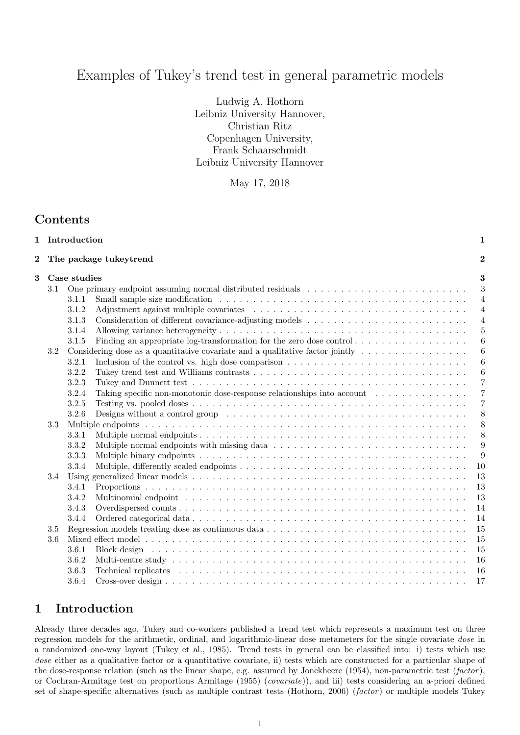# Examples of Tukey's trend test in general parametric models

Ludwig A. Hothorn Leibniz University Hannover, Christian Ritz Copenhagen University, Frank Schaarschmidt Leibniz University Hannover

May 17, 2018

## Contents

|          |     | 1 Introduction                                                                                                                                                                                                                          | 1                |
|----------|-----|-----------------------------------------------------------------------------------------------------------------------------------------------------------------------------------------------------------------------------------------|------------------|
| $\bf{2}$ |     | The package tukeytrend                                                                                                                                                                                                                  | $\overline{2}$   |
| 3        |     | Case studies                                                                                                                                                                                                                            | 3                |
|          | 3.1 |                                                                                                                                                                                                                                         | 3                |
|          |     | Small sample size modification $\dots \dots \dots \dots \dots \dots \dots \dots \dots \dots \dots \dots \dots \dots \dots \dots$<br>3.1.1                                                                                               | $\overline{4}$   |
|          |     | 3.1.2                                                                                                                                                                                                                                   | $\overline{4}$   |
|          |     | 3.1.3                                                                                                                                                                                                                                   | $\overline{4}$   |
|          |     | 3.1.4                                                                                                                                                                                                                                   | 5                |
|          |     | Finding an appropriate log-transformation for the zero dose control $\dots \dots \dots \dots \dots$<br>3.1.5                                                                                                                            | 6                |
|          | 3.2 | Considering dose as a quantitative covariate and a qualitative factor jointly $\dots \dots \dots \dots \dots$                                                                                                                           | $\boldsymbol{6}$ |
|          |     | Inclusion of the control vs. high dose comparison $\dots \dots \dots \dots \dots \dots \dots \dots \dots \dots \dots$<br>3.2.1                                                                                                          | 6                |
|          |     | 3.2.2                                                                                                                                                                                                                                   | $\boldsymbol{6}$ |
|          |     | 3.2.3                                                                                                                                                                                                                                   | $\overline{7}$   |
|          |     | Taking specific non-monotonic dose-response relationships into account<br>3.2.4                                                                                                                                                         | $\overline{7}$   |
|          |     | 3.2.5                                                                                                                                                                                                                                   | $\overline{7}$   |
|          |     | 3.2.6                                                                                                                                                                                                                                   | 8                |
|          | 3.3 |                                                                                                                                                                                                                                         | 8                |
|          |     | 3.3.1                                                                                                                                                                                                                                   | 8                |
|          |     | 3.3.2                                                                                                                                                                                                                                   | 9                |
|          |     | 3.3.3                                                                                                                                                                                                                                   | $\overline{9}$   |
|          |     | 3.3.4                                                                                                                                                                                                                                   | 10               |
|          | 3.4 |                                                                                                                                                                                                                                         | 13               |
|          |     | 3.4.1                                                                                                                                                                                                                                   | 13               |
|          |     | 3.4.2<br>Multinomial endpoint research resources in the service contract to the service of the service of the service of the service of the service of the service of the service of the service of the service of the service of the s | 13               |
|          |     | 3.4.3                                                                                                                                                                                                                                   | 14               |
|          |     | 3.4.4                                                                                                                                                                                                                                   | 14               |
|          | 3.5 |                                                                                                                                                                                                                                         | 15               |
|          | 3.6 |                                                                                                                                                                                                                                         | 15               |
|          |     | 3.6.1                                                                                                                                                                                                                                   | 15               |
|          |     | 3.6.2                                                                                                                                                                                                                                   | 16               |
|          |     | 3.6.3                                                                                                                                                                                                                                   | 16               |
|          |     | 3.6.4                                                                                                                                                                                                                                   | 17               |
|          |     |                                                                                                                                                                                                                                         |                  |

## 1 Introduction

Already three decades ago, Tukey and co-workers published a trend test which represents a maximum test on three regression models for the arithmetic, ordinal, and logarithmic-linear dose metameters for the single covariate dose in a randomized one-way layout (Tukey et al., 1985). Trend tests in general can be classified into: i) tests which use dose either as a qualitative factor or a quantitative covariate, ii) tests which are constructed for a particular shape of the dose-response relation (such as the linear shape, e.g. assumed by Jonckheere  $(1954)$ , non-parametric test  $(factor)$ , or Cochran-Armitage test on proportions Armitage (1955) (covariate)), and iii) tests considering an a-priori defined set of shape-specific alternatives (such as multiple contrast tests (Hothorn, 2006) (factor) or multiple models Tukey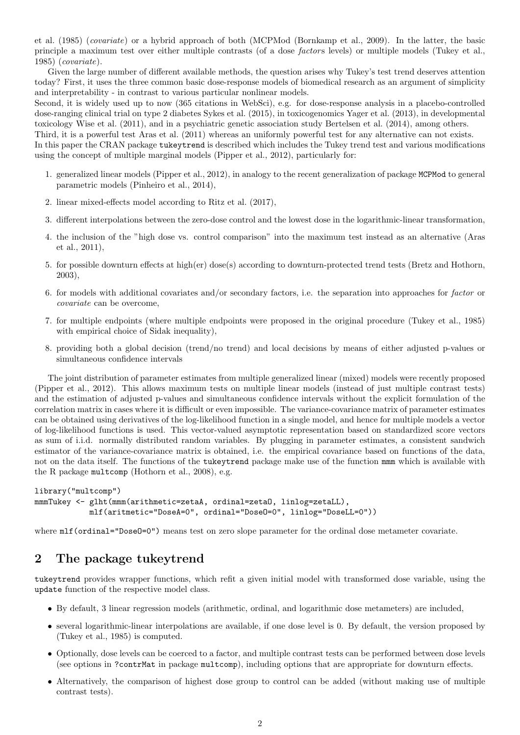et al. (1985) (covariate) or a hybrid approach of both (MCPMod (Bornkamp et al., 2009). In the latter, the basic principle a maximum test over either multiple contrasts (of a dose *factors* levels) or multiple models (Tukey et al., 1985) (covariate).

Given the large number of different available methods, the question arises why Tukey's test trend deserves attention today? First, it uses the three common basic dose-response models of biomedical research as an argument of simplicity and interpretability - in contrast to various particular nonlinear models.

Second, it is widely used up to now (365 citations in WebSci), e.g. for dose-response analysis in a placebo-controlled dose-ranging clinical trial on type 2 diabetes Sykes et al. (2015), in toxicogenomics Yager et al. (2013), in developmental toxicology Wise et al. (2011), and in a psychiatric genetic association study Bertelsen et al. (2014), among others.

Third, it is a powerful test Aras et al. (2011) whereas an uniformly powerful test for any alternative can not exists. In this paper the CRAN package tukeytrend is described which includes the Tukey trend test and various modifications using the concept of multiple marginal models (Pipper et al., 2012), particularly for:

- 1. generalized linear models (Pipper et al., 2012), in analogy to the recent generalization of package MCPMod to general parametric models (Pinheiro et al., 2014),
- 2. linear mixed-effects model according to Ritz et al. (2017),
- 3. different interpolations between the zero-dose control and the lowest dose in the logarithmic-linear transformation,
- 4. the inclusion of the "high dose vs. control comparison" into the maximum test instead as an alternative (Aras et al., 2011),
- 5. for possible downturn effects at high(er) dose(s) according to downturn-protected trend tests (Bretz and Hothorn, 2003),
- 6. for models with additional covariates and/or secondary factors, i.e. the separation into approaches for factor or covariate can be overcome,
- 7. for multiple endpoints (where multiple endpoints were proposed in the original procedure (Tukey et al., 1985) with empirical choice of Sidak inequality),
- 8. providing both a global decision (trend/no trend) and local decisions by means of either adjusted p-values or simultaneous confidence intervals

The joint distribution of parameter estimates from multiple generalized linear (mixed) models were recently proposed (Pipper et al., 2012). This allows maximum tests on multiple linear models (instead of just multiple contrast tests) and the estimation of adjusted p-values and simultaneous confidence intervals without the explicit formulation of the correlation matrix in cases where it is difficult or even impossible. The variance-covariance matrix of parameter estimates can be obtained using derivatives of the log-likelihood function in a single model, and hence for multiple models a vector of log-likelihood functions is used. This vector-valued asymptotic representation based on standardized score vectors as sum of i.i.d. normally distributed random variables. By plugging in parameter estimates, a consistent sandwich estimator of the variance-covariance matrix is obtained, i.e. the empirical covariance based on functions of the data, not on the data itself. The functions of the tukeytrend package make use of the function mmm which is available with the R package multcomp (Hothorn et al., 2008), e.g.

```
library("multcomp")
mmmTukey <- glht(mmm(arithmetic=zetaA, ordinal=zetaO, linlog=zetaLL),
            mlf(aritmetic="DoseA=0", ordinal="DoseO=0", linlog="DoseLL=0"))
```
where  $mIf (ordinate "Dose0=0")$  means test on zero slope parameter for the ordinal dose metameter covariate.

## 2 The package tukeytrend

tukeytrend provides wrapper functions, which refit a given initial model with transformed dose variable, using the update function of the respective model class.

- By default, 3 linear regression models (arithmetic, ordinal, and logarithmic dose metameters) are included,
- several logarithmic-linear interpolations are available, if one dose level is 0. By default, the version proposed by (Tukey et al., 1985) is computed.
- Optionally, dose levels can be coerced to a factor, and multiple contrast tests can be performed between dose levels (see options in ?contrMat in package multcomp), including options that are appropriate for downturn effects.
- Alternatively, the comparison of highest dose group to control can be added (without making use of multiple contrast tests).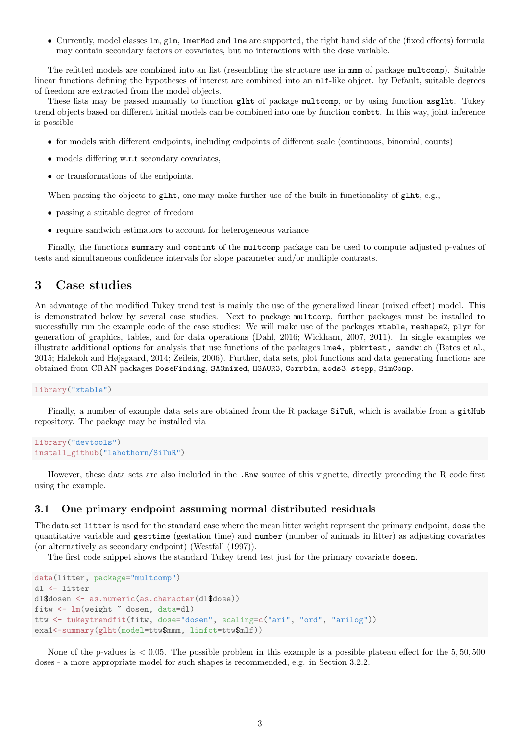• Currently, model classes lm, glm, lmerMod and lme are supported, the right hand side of the (fixed effects) formula may contain secondary factors or covariates, but no interactions with the dose variable.

The refitted models are combined into an list (resembling the structure use in mmm of package multcomp). Suitable linear functions defining the hypotheses of interest are combined into an mlf-like object. by Default, suitable degrees of freedom are extracted from the model objects.

These lists may be passed manually to function glht of package multcomp, or by using function asglht. Tukey trend objects based on different initial models can be combined into one by function combtt. In this way, joint inference is possible

- for models with different endpoints, including endpoints of different scale (continuous, binomial, counts)
- models differing w.r.t secondary covariates,
- or transformations of the endpoints.

When passing the objects to glht, one may make further use of the built-in functionality of glht, e.g.,

- passing a suitable degree of freedom
- require sandwich estimators to account for heterogeneous variance

Finally, the functions summary and confint of the multcomp package can be used to compute adjusted p-values of tests and simultaneous confidence intervals for slope parameter and/or multiple contrasts.

## 3 Case studies

An advantage of the modified Tukey trend test is mainly the use of the generalized linear (mixed effect) model. This is demonstrated below by several case studies. Next to package multcomp, further packages must be installed to successfully run the example code of the case studies: We will make use of the packages xtable, reshape2, plyr for generation of graphics, tables, and for data operations (Dahl, 2016; Wickham, 2007, 2011). In single examples we illustrate additional options for analysis that use functions of the packages lme4, pbkrtest, sandwich (Bates et al., 2015; Halekoh and Højsgaard, 2014; Zeileis, 2006). Further, data sets, plot functions and data generating functions are obtained from CRAN packages DoseFinding, SASmixed, HSAUR3, Corrbin, aods3, stepp, SimComp.

library("xtable")

Finally, a number of example data sets are obtained from the R package SiTuR, which is available from a gitHub repository. The package may be installed via

```
library("devtools")
install_github("lahothorn/SiTuR")
```
However, these data sets are also included in the .Rnw source of this vignette, directly preceding the R code first using the example.

## 3.1 One primary endpoint assuming normal distributed residuals

The data set litter is used for the standard case where the mean litter weight represent the primary endpoint, dose the quantitative variable and gesttime (gestation time) and number (number of animals in litter) as adjusting covariates (or alternatively as secondary endpoint) (Westfall (1997)).

The first code snippet shows the standard Tukey trend test just for the primary covariate dosen.

```
data(litter, package="multcomp")
dl <- litter
dl$dosen <- as.numeric(as.character(dl$dose))
fitw <- lm(weight ~ dosen, data=dl)
ttw <- tukeytrendfit(fitw, dose="dosen", scaling=c("ari", "ord", "arilog"))
exa1<-summary(glht(model=ttw$mmm, linfct=ttw$mlf))
```
None of the p-values is  $< 0.05$ . The possible problem in this example is a possible plateau effect for the  $5,50,500$ doses - a more appropriate model for such shapes is recommended, e.g. in Section 3.2.2.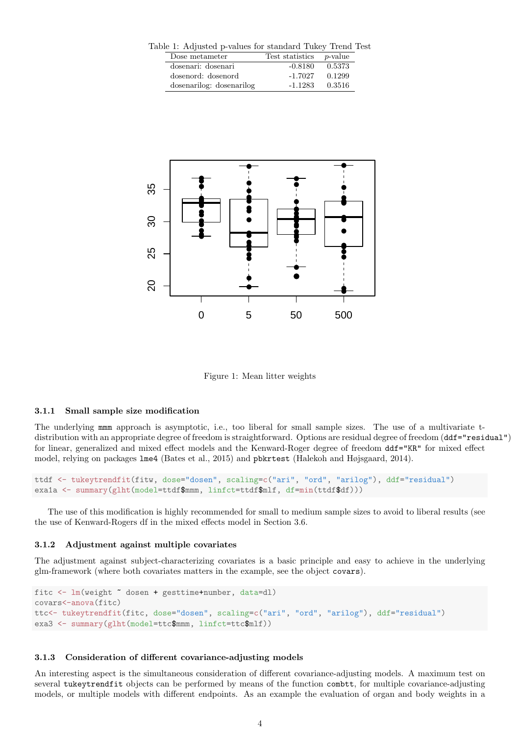Table 1: Adjusted p-values for standard Tukey Trend Test

| Dose metameter           | Test statistics | <i>p</i> -value |  |
|--------------------------|-----------------|-----------------|--|
| dosenari: dosenari       | $-0.8180$       | 0.5373          |  |
| dosenord: dosenord       | $-1.7027$       | 0.1299          |  |
| dosenarilog: dosenarilog | $-1.1283$       | 0.3516          |  |



Figure 1: Mean litter weights

### 3.1.1 Small sample size modification

The underlying mmm approach is asymptotic, i.e., too liberal for small sample sizes. The use of a multivariate tdistribution with an appropriate degree of freedom is straightforward. Options are residual degree of freedom (ddf="residual") for linear, generalized and mixed effect models and the Kenward-Roger degree of freedom ddf="KR" for mixed effect model, relying on packages lme4 (Bates et al., 2015) and pbkrtest (Halekoh and Højsgaard, 2014).

```
ttdf <- tukeytrendfit(fitw, dose="dosen", scaling=c("ari", "ord", "arilog"), ddf="residual")
exa1a <- summary(glht(model=ttdf$mmm, linfct=ttdf$mlf, df=min(ttdf$df)))
```
The use of this modification is highly recommended for small to medium sample sizes to avoid to liberal results (see the use of Kenward-Rogers df in the mixed effects model in Section 3.6.

#### 3.1.2 Adjustment against multiple covariates

The adjustment against subject-characterizing covariates is a basic principle and easy to achieve in the underlying glm-framework (where both covariates matters in the example, see the object covars).

```
fitc <- lm(weight ~ dosen + gesttime+number, data=dl)
covars<-anova(fitc)
ttc<- tukeytrendfit(fitc, dose="dosen", scaling=c("ari", "ord", "arilog"), ddf="residual")
exa3 <- summary(glht(model=ttc$mmm, linfct=ttc$mlf))
```
#### 3.1.3 Consideration of different covariance-adjusting models

An interesting aspect is the simultaneous consideration of different covariance-adjusting models. A maximum test on several tukeytrendfit objects can be performed by means of the function combtt, for multiple covariance-adjusting models, or multiple models with different endpoints. As an example the evaluation of organ and body weights in a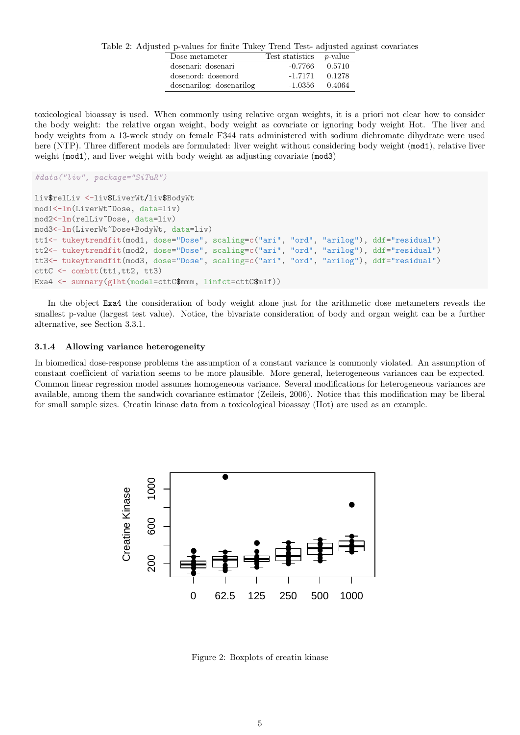Table 2: Adjusted p-values for finite Tukey Trend Test- adjusted against covariates

| Dose metameter           | Test statistics | <i>p</i> -value |
|--------------------------|-----------------|-----------------|
| dosenari: dosenari       | $-0.7766$       | 0.5710          |
| dosenord: dosenord       | $-1.7171$       | 0.1278          |
| dosenarilog: dosenarilog | $-1.0356$       | 0.4064          |

toxicological bioassay is used. When commonly using relative organ weights, it is a priori not clear how to consider the body weight: the relative organ weight, body weight as covariate or ignoring body weight Hot. The liver and body weights from a 13-week study on female F344 rats administered with sodium dichromate dihydrate were used here (NTP). Three different models are formulated: liver weight without considering body weight (mod1), relative liver weight (mod1), and liver weight with body weight as adjusting covariate (mod3)

```
#data("liv", package="SiTuR")
```

```
liv$relLiv <-liv$LiverWt/liv$BodyWt
mod1<-lm(LiverWt~Dose, data=liv)
mod2<-lm(relLiv~Dose, data=liv)
mod3<-lm(LiverWt~Dose+BodyWt, data=liv)
tt1<- tukeytrendfit(mod1, dose="Dose", scaling=c("ari", "ord", "arilog"), ddf="residual")
tt2<- tukeytrendfit(mod2, dose="Dose", scaling=c("ari", "ord", "arilog"), ddf="residual")
tt3<- tukeytrendfit(mod3, dose="Dose", scaling=c("ari", "ord", "arilog"), ddf="residual")
cttC <- combtt(tt1,tt2, tt3)
Exa4 <- summary(glht(model=cttC$mmm, linfct=cttC$mlf))
```
In the object Exa4 the consideration of body weight alone just for the arithmetic dose metameters reveals the smallest p-value (largest test value). Notice, the bivariate consideration of body and organ weight can be a further alternative, see Section 3.3.1.

#### 3.1.4 Allowing variance heterogeneity

In biomedical dose-response problems the assumption of a constant variance is commonly violated. An assumption of constant coefficient of variation seems to be more plausible. More general, heterogeneous variances can be expected. Common linear regression model assumes homogeneous variance. Several modifications for heterogeneous variances are available, among them the sandwich covariance estimator (Zeileis, 2006). Notice that this modification may be liberal for small sample sizes. Creatin kinase data from a toxicological bioassay (Hot) are used as an example.



Figure 2: Boxplots of creatin kinase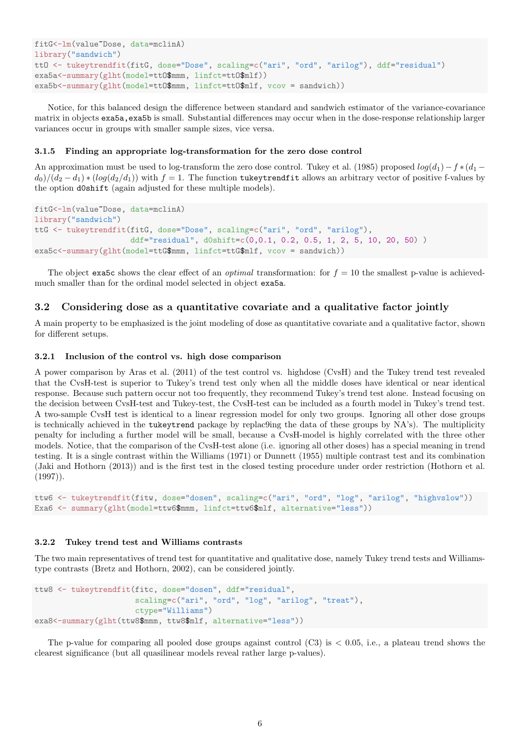```
fitG<-lm(value~Dose, data=mclinA)
library("sandwich")
ttO <- tukeytrendfit(fitG, dose="Dose", scaling=c("ari", "ord", "arilog"), ddf="residual")
exa5a<-summary(glht(model=tt0$mmm, linfct=tt0$mlf))
exabs < summary (glht(model=tt0$mmm, linfct=tt0$mlf, vcov = sandwich))
```
Notice, for this balanced design the difference between standard and sandwich estimator of the variance-covariance matrix in objects exa5a,exa5b is small. Substantial differences may occur when in the dose-response relationship larger variances occur in groups with smaller sample sizes, vice versa.

## 3.1.5 Finding an appropriate log-transformation for the zero dose control

An approximation must be used to log-transform the zero dose control. Tukey et al. (1985) proposed  $log(d_1)-f * (d_1$  $d_0/(d_2 - d_1) * (log(d_2/d_1))$  with  $f = 1$ . The function tukeytrendfit allows an arbitrary vector of positive f-values by the option d0shift (again adjusted for these multiple models).

```
fitG<-lm(value~Dose, data=mclinA)
library("sandwich")
ttG <- tukeytrendfit(fitG, dose="Dose", scaling=c("ari", "ord", "arilog"),
                     ddf="residual", d0shift=c(0,0.1, 0.2, 0.5, 1, 2, 5, 10, 20, 50) )
exa5c <- summary(glht(model=ttG$mmm, linfct=ttG$mlf, vcov = sandwich))
```
The object exa5c shows the clear effect of an *optimal* transformation: for  $f = 10$  the smallest p-value is achievedmuch smaller than for the ordinal model selected in object exa5a.

## 3.2 Considering dose as a quantitative covariate and a qualitative factor jointly

A main property to be emphasized is the joint modeling of dose as quantitative covariate and a qualitative factor, shown for different setups.

#### 3.2.1 Inclusion of the control vs. high dose comparison

A power comparison by Aras et al. (2011) of the test control vs. highdose (CvsH) and the Tukey trend test revealed that the CvsH-test is superior to Tukey's trend test only when all the middle doses have identical or near identical response. Because such pattern occur not too frequently, they recommend Tukey's trend test alone. Instead focusing on the decision between CvsH-test and Tukey-test, the CvsH-test can be included as a fourth model in Tukey's trend test. A two-sample CvsH test is identical to a linear regression model for only two groups. Ignoring all other dose groups is technically achieved in the tukeytrend package by replac9ing the data of these groups by NA's). The multiplicity penalty for including a further model will be small, because a CvsH-model is highly correlated with the three other models. Notice, that the comparison of the CvsH-test alone (i.e. ignoring all other doses) has a special meaning in trend testing. It is a single contrast within the Williams (1971) or Dunnett (1955) multiple contrast test and its combination (Jaki and Hothorn (2013)) and is the first test in the closed testing procedure under order restriction (Hothorn et al.  $(1997)$ .

```
ttw6 <- tukeytrendfit(fitw, dose="dosen", scaling=c("ari", "ord", "log", "arilog", "highvslow"))
Exa6 <- summary(glht(model=ttw6$mmm, linfct=ttw6$mlf, alternative="less"))
```
## 3.2.2 Tukey trend test and Williams contrasts

The two main representatives of trend test for quantitative and qualitative dose, namely Tukey trend tests and Williamstype contrasts (Bretz and Hothorn, 2002), can be considered jointly.

```
ttw8 <- tukeytrendfit(fitc, dose="dosen", ddf="residual",
                      scaling=c("ari", "ord", "log", "arilog", "treat"),
                      ctype="Williams")
exa8<-summary(glht(ttw8$mmm, ttw8$mlf, alternative="less"))
```
The p-value for comparing all pooled dose groups against control  $(C3)$  is  $\lt$  0.05, i.e., a plateau trend shows the clearest significance (but all quasilinear models reveal rather large p-values).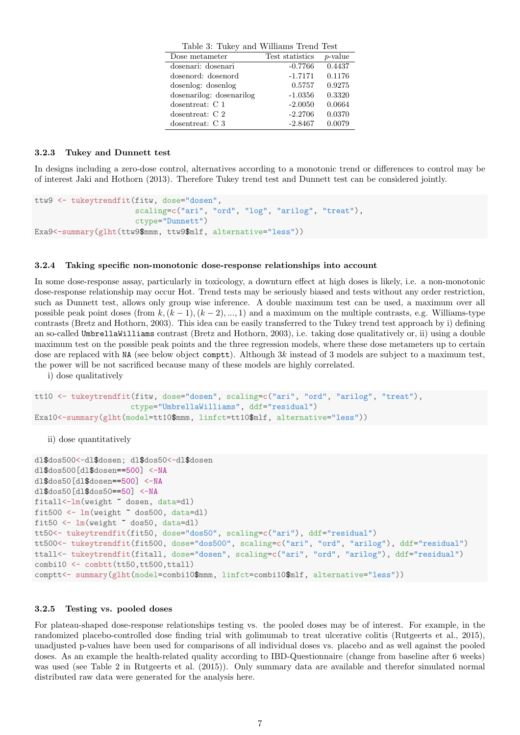| Table 3: Tukey and Williams Trend Test |                 |            |
|----------------------------------------|-----------------|------------|
| Dose metameter                         | Test statistics | $p$ -value |
| dosenari: dosenari                     | $-0.7766$       | 0.4437     |
| dosenord: dosenord                     | $-1.7171$       | 0.1176     |
| dosenlog: dosenlog                     | 0.5757          | 0.9275     |
| dosenarilog: dosenarilog               | $-1.0356$       | 0.3320     |
| dosentreat: C 1                        | $-2.0050$       | 0.0664     |
| dosent reat: $C2$                      | $-2.2706$       | 0.0370     |
| dosentreat: C 3                        | $-2.8467$       | 0.0079     |

#### 3.2.3 Tukey and Dunnett test

In designs including a zero-dose control, alternatives according to a monotonic trend or differences to control may be of interest Jaki and Hothorn (2013). Therefore Tukey trend test and Dunnett test can be considered jointly.

```
ttw9 <- tukeytrendfit(fitw, dose="dosen",
                      scaling=c("ari", "ord", "log", "arilog", "treat"),
                      ctype="Dunnett")
Exa9<-summary(glht(ttw9$mmm, ttw9$mlf, alternative="less"))
```
#### 3.2.4 Taking specific non-monotonic dose-response relationships into account

In some dose-response assay, particularly in toxicology, a downturn effect at high doses is likely, i.e. a non-monotonic dose-response relationship may occur Hot. Trend tests may be seriously biased and tests without any order restriction, such as Dunnett test, allows only group wise inference. A double maximum test can be used, a maximum over all possible peak point doses (from k, $(k-1)$ , $(k-2)$ , ..., 1) and a maximum on the multiple contrasts, e.g. Williams-type contrasts (Bretz and Hothorn, 2003). This idea can be easily transferred to the Tukey trend test approach by i) defining an so-called UmbrellaWilliams contrast (Bretz and Hothorn, 2003), i.e. taking dose qualitatively or, ii) using a double maximum test on the possible peak points and the three regression models, where these dose metameters up to certain dose are replaced with NA (see below object comptt). Although 3k instead of 3 models are subject to a maximum test, the power will be not sacrificed because many of these models are highly correlated.

i) dose qualitatively

```
tt10 <- tukeytrendfit(fitw, dose="dosen", scaling=c("ari", "ord", "arilog", "treat"),
                     ctype="UmbrellaWilliams", ddf="residual")
Exa10<-summary(glht(model=tt10$mmm, linfct=tt10$mlf, alternative="less"))
```
ii) dose quantitatively

```
dl$dos500<-dl$dosen; dl$dos50<-dl$dosen
dl$dos500[dl$dosen==500] <-NA
dl$dos50[dl$dosen==500] <-NA
dl$dos50[dl$dos50==50] <-NA
fitall<-lm(weight ~ dosen, data=dl)
fit500 \leftarrow lm(weight \tilde{\phantom{a}} dos500, data=dl)
fit50 \leftarrow lm(weight \sim dos50, data=dl)
tt50<- tukeytrendfit(fit50, dose="dos50", scaling=c("ari"), ddf="residual")
tt500<- tukeytrendfit(fit500, dose="dos500", scaling=c("ari", "ord", "arilog"), ddf="residual")
ttall<- tukeytrendfit(fitall, dose="dosen", scaling=c("ari", "ord", "arilog"), ddf="residual")
combi10 <- combtt(tt50,tt500,ttall)
comptt<- summary(glht(model=combi10$mmm, linfct=combi10$mlf, alternative="less"))
```
#### 3.2.5 Testing vs. pooled doses

For plateau-shaped dose-response relationships testing vs. the pooled doses may be of interest. For example, in the randomized placebo-controlled dose finding trial with golimumab to treat ulcerative colitis (Rutgeerts et al., 2015), unadjusted p-values have been used for comparisons of all individual doses vs. placebo and as well against the pooled doses. As an example the health-related quality according to IBD-Questionnaire (change from baseline after 6 weeks) was used (see Table 2 in Rutgeerts et al. (2015)). Only summary data are available and therefor simulated normal distributed raw data were generated for the analysis here.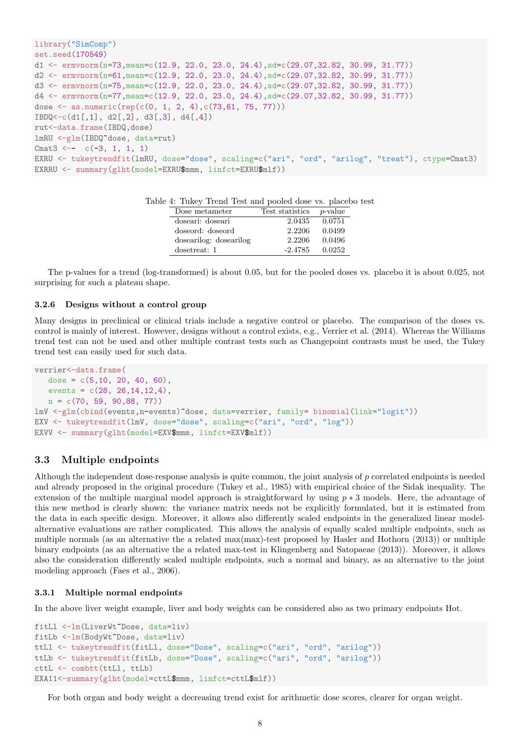```
library("SimComp")
set.seed(170549)
d1 <- ermvnorm(n=73,mean=c(12.9, 22.0, 23.0, 24.4),sd=c(29.07,32.82, 30.99, 31.77))
d2 <- ermvnorm(n=61,mean=c(12.9, 22.0, 23.0, 24.4),sd=c(29.07,32.82, 30.99, 31.77))
d3 <- ermvnorm(n=75,mean=c(12.9, 22.0, 23.0, 24.4),sd=c(29.07,32.82, 30.99, 31.77))
d4 <- ermvnorm(n=77,mean=c(12.9, 22.0, 23.0, 24.4),sd=c(29.07,32.82, 30.99, 31.77))
dose \leq as.numeric(rep(c(0, 1, 2, 4),c(73,61, 75, 77)))
IBDQ < -c(d1[, 1], d2[, 2], d3[, 3], d4[, 4]rut<-data.frame(IBDQ,dose)
lmRU <-glm(IBDQ~dose, data=rut)
Cmat3 <-- c(-3, 1, 1, 1)EXRU <- tukeytrendfit(lmRU, dose="dose", scaling=c("ari", "ord", "arilog", "treat"), ctype=Cmat3)
EXRRU <- summary(glht(model=EXRU$mmm, linfct=EXRU$mlf))
```

| 4. Tuncy from the direct popied dose vs. place of |                 |                 |
|---------------------------------------------------|-----------------|-----------------|
| Dose metameter                                    | Test statistics | <i>p</i> -value |
| doseari: doseari                                  | 2.0435          | 0.0751          |
| doseord: doseord                                  | 2.2206          | 0.0499          |
| dosearilog: dosearilog                            | 2.2206          | 0.0496          |
| dosetreat: 1                                      | $-2.4785$       | 0.0252          |

The p-values for a trend (log-transformed) is about 0.05, but for the pooled doses vs. placebo it is about 0.025, not surprising for such a plateau shape.

#### 3.2.6 Designs without a control group

Many designs in preclinical or clinical trials include a negative control or placebo. The comparison of the doses vs. control is mainly of interest. However, designs without a control exists, e.g., Verrier et al. (2014). Whereas the Williams trend test can not be used and other multiple contrast tests such as Changepoint contrasts must be used, the Tukey trend test can easily used for such data.

```
verrier<-data.frame(
   dose = c(5, 10, 20, 40, 60),
   events = c(28, 26, 14, 12, 4),
   n = c(70, 59, 90,88, 77))
lmV <-glm(cbind(events,n-events)~dose, data=verrier, family= binomial(link="logit"))
EXV <- tukeytrendfit(lmV, dose="dose", scaling=c("ari", "ord", "log"))
EXVV <- summary(glht(model=EXV$mmm, linfct=EXV$mlf))
```
## 3.3 Multiple endpoints

Although the independent dose-response analysis is quite common, the joint analysis of p correlated endpoints is needed and already proposed in the original procedure (Tukey et al., 1985) with empirical choice of the Sidak inequality. The extension of the multiple marginal model approach is straightforward by using  $p * 3$  models. Here, the advantage of this new method is clearly shown: the variance matrix needs not be explicitly formulated, but it is estimated from the data in each specific design. Moreover, it allows also differently scaled endpoints in the generalized linear modelalternative evaluations are rather complicated. This allows the analysis of equally scaled multiple endpoints, such as multiple normals (as an alternative the a related max(max)-test proposed by Hasler and Hothorn (2013)) or multiple binary endpoints (as an alternative the a related max-test in Klingenberg and Satopaeae (2013)). Moreover, it allows also the consideration differently scaled multiple endpoints, such a normal and binary, as an alternative to the joint modeling approach (Faes et al., 2006).

#### 3.3.1 Multiple normal endpoints

In the above liver weight example, liver and body weights can be considered also as two primary endpoints Hot.

```
fitLl <-lm(LiverWt~Dose, data=liv)
fitLb <-lm(BodyWt~Dose, data=liv)
ttLl <- tukeytrendfit(fitLl, dose="Dose", scaling=c("ari", "ord", "arilog"))
ttLb <- tukeytrendfit(fitLb, dose="Dose", scaling=c("ari", "ord", "arilog"))
cttL <- combtt(ttLl, ttLb)
EXA11<-summary(glht(model=cttL$mmm, linfct=cttL$mlf))
```
For both organ and body weight a decreasing trend exist for arithmetic dose scores, clearer for organ weight.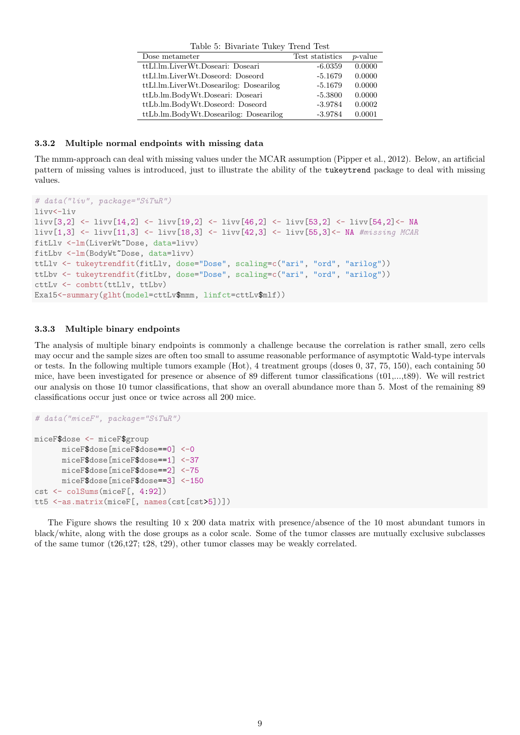| Table 5: Bivariate Tukey Trend Test    |                 |            |  |  |
|----------------------------------------|-----------------|------------|--|--|
| Dose metameter                         | Test statistics | $p$ -value |  |  |
| ttLl.lm.LiverWt.Doseari: Doseari       | $-6.0359$       | 0.0000     |  |  |
| ttLl.lm.LiverWt.Doseord: Doseord       | $-5.1679$       | 0.0000     |  |  |
| ttLl.lm.LiverWt.Dosearilog: Dosearilog | $-5.1679$       | 0.0000     |  |  |
| ttLb.lm.BodyWt.Doseari: Doseari        | $-5.3800$       | 0.0000     |  |  |
| ttLb.lm.BodyWt.Doseord: Doseord        | $-3.9784$       | 0.0002     |  |  |
| ttLb.lm.BodyWt.Dosearilog: Dosearilog  | $-3.9784$       | 0.0001     |  |  |

### 3.3.2 Multiple normal endpoints with missing data

The mmm-approach can deal with missing values under the MCAR assumption (Pipper et al., 2012). Below, an artificial pattern of missing values is introduced, just to illustrate the ability of the tukeytrend package to deal with missing values.

```
# data("liv", package="SiTuR")
livv<-liv
livv[3,2] <- livv[14,2] <- livv[19,2] <- livv[46,2] <- livv[53,2] <- livv[54,2]<- NA
livv[1,3] <- livv[11,3] <- livv[18,3] <- livv[42,3] <- livv[55,3]<- NA #missing MCAR
fitLlv <-lm(LiverWt~Dose, data=livv)
fitLbv <-lm(BodyWt~Dose, data=livv)
ttLlv <- tukeytrendfit(fitLlv, dose="Dose", scaling=c("ari", "ord", "arilog"))
ttLbv <- tukeytrendfit(fitLbv, dose="Dose", scaling=c("ari", "ord", "arilog"))
cttLv <- combtt(ttLlv, ttLbv)
Exa15<-summary(glht(model=cttLv$mmm, linfct=cttLv$mlf))
```
## 3.3.3 Multiple binary endpoints

The analysis of multiple binary endpoints is commonly a challenge because the correlation is rather small, zero cells may occur and the sample sizes are often too small to assume reasonable performance of asymptotic Wald-type intervals or tests. In the following multiple tumors example (Hot), 4 treatment groups (doses 0, 37, 75, 150), each containing 50 mice, have been investigated for presence or absence of 89 different tumor classifications (t01,...,t89). We will restrict our analysis on those 10 tumor classifications, that show an overall abundance more than 5. Most of the remaining 89 classifications occur just once or twice across all 200 mice.

```
# data("miceF", package="SiTuR")
miceF$dose <- miceF$group
     miceF$dose[miceF$dose==0] <-0
      miceF$dose[miceF$dose==1] <-37
      miceF$dose[miceF$dose==2] <-75
     miceF$dose[miceF$dose==3] <-150
cst <- colSums(miceF[, 4:92])
tt5 <-as.matrix(miceF[, names(cst[cst>5])])
```
The Figure shows the resulting 10 x 200 data matrix with presence/absence of the 10 most abundant tumors in black/white, along with the dose groups as a color scale. Some of the tumor classes are mutually exclusive subclasses of the same tumor  $(t26,t27; t28, t29)$ , other tumor classes may be weakly correlated.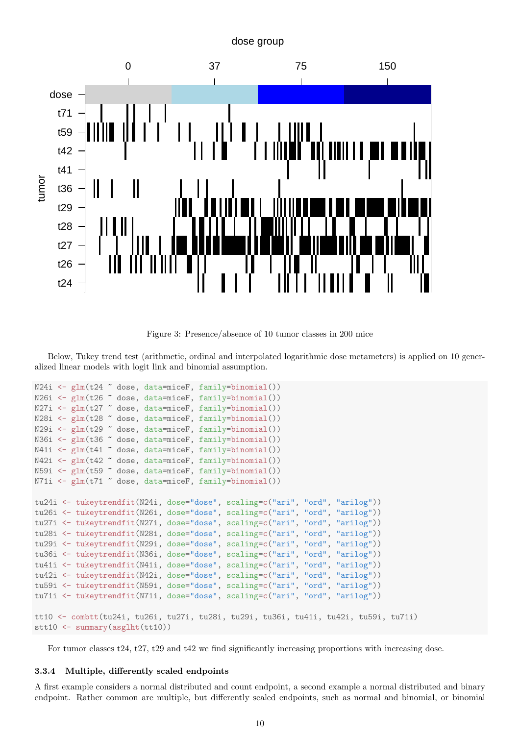## dose group



Figure 3: Presence/absence of 10 tumor classes in 200 mice

Below, Tukey trend test (arithmetic, ordinal and interpolated logarithmic dose metameters) is applied on 10 generalized linear models with logit link and binomial assumption.

```
N24i <- glm(t24 ~ dose, data=miceF, family=binomial())
N26i <- glm(t26 ~ dose, data=miceF, family=binomial())
N27i \leq glm(t27 \sim dose, data=miceF, family=binomial())
N28i <- glm(t28 ~ dose, data=miceF, family=binomial())
N29i <- glm(t29 ~ dose, data=miceF, family=binomial())
N36i <- glm(t36 ~ dose, data=miceF, family=binomial())
N41i <- glm(t41 ~ dose, data=miceF, family=binomial())
N42i \leftarrow \text{glm}(t42 \text{ }^{\circ} \text{ dose}, \text{ data=microF}, \text{ family=binomial}()N59i <- glm(t59 ~ dose, data=miceF, family=binomial())
N71i <- glm(t71 ~ dose, data=miceF, family=binomial())
tu24i <- tukeytrendfit(N24i, dose="dose", scaling=c("ari", "ord", "arilog"))
tu26i <- tukeytrendfit(N26i, dose="dose", scaling=c("ari", "ord", "arilog"))
tu27i <- tukeytrendfit(N27i, dose="dose", scaling=c("ari", "ord", "arilog"))
tu28i <- tukeytrendfit(N28i, dose="dose", scaling=c("ari", "ord", "arilog"))
tu29i <- tukeytrendfit(N29i, dose="dose", scaling=c("ari", "ord", "arilog"))
tu36i <- tukeytrendfit(N36i, dose="dose", scaling=c("ari", "ord", "arilog"))
tu41i <- tukeytrendfit(N41i, dose="dose", scaling=c("ari", "ord", "arilog"))
tu42i <- tukeytrendfit(N42i, dose="dose", scaling=c("ari", "ord", "arilog"))
tu59i <- tukeytrendfit(N59i, dose="dose", scaling=c("ari", "ord", "arilog"))
tu71i <- tukeytrendfit(N71i, dose="dose", scaling=c("ari", "ord", "arilog"))
tt10 <- combtt(tu24i, tu26i, tu27i, tu28i, tu29i, tu36i, tu41i, tu42i, tu59i, tu71i)
stt10 <- summary(asglht(tt10))
```
For tumor classes t24, t27, t29 and t42 we find significantly increasing proportions with increasing dose.

## 3.3.4 Multiple, differently scaled endpoints

A first example considers a normal distributed and count endpoint, a second example a normal distributed and binary endpoint. Rather common are multiple, but differently scaled endpoints, such as normal and binomial, or binomial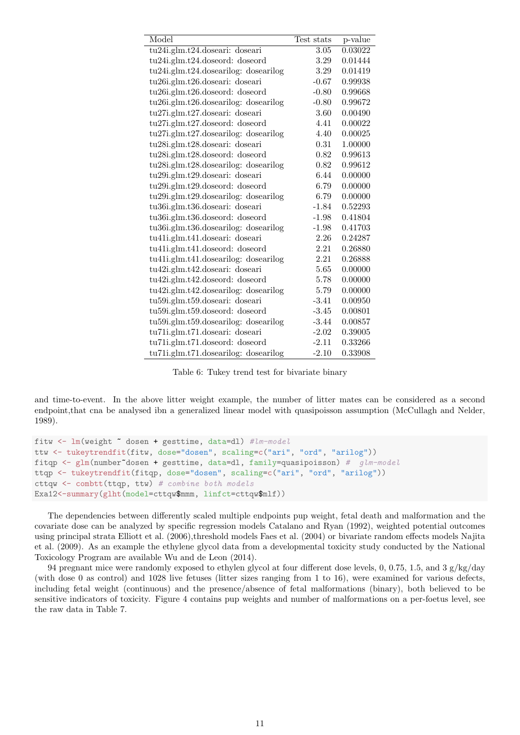| Model                                       | Test stats | p-value |
|---------------------------------------------|------------|---------|
| tu24i.glm.t24.doseari: doseari              | 3.05       | 0.03022 |
| tu24i.glm.t24.doseord: doseord              | 3.29       | 0.01444 |
| $tu24i$ .glm.t24.dosearilog: dosearilog     | 3.29       | 0.01419 |
| tu26i.glm.t26.doseari: doseari              | $-0.67$    | 0.99938 |
| $tu26i$ .glm.t $26$ .doseord: doseord       | $-0.80$    | 0.99668 |
| $tu26i$ .glm.t $26$ .dosearilog: dosearilog | $-0.80$    | 0.99672 |
| tu27i.glm.t27.doseari: doseari              | 3.60       | 0.00490 |
| $tu27i$ .glm. $t27$ .doseord: doseord       | 4.41       | 0.00022 |
| $tu27i$ .glm.t27.dosearilog: dosearilog     | 4.40       | 0.00025 |
| tu28i.glm.t28.doseari: doseari              | 0.31       | 1.00000 |
| tu28i.glm.t28.doseord: doseord              | 0.82       | 0.99613 |
| $tu28i$ .glm.t28.dosearilog: dosearilog     | 0.82       | 0.99612 |
| tu29i.glm.t29.doseari: doseari              | 6.44       | 0.00000 |
| tu29i.glm.t29.doseord: doseord              | 6.79       | 0.00000 |
| $tu29i.glm.t29.dosearilog:$ dosearilog      | 6.79       | 0.00000 |
| tu36i.glm.t36.doseari: doseari              | $-1.84$    | 0.52293 |
| tu36i.glm.t36.doseord: doseord              | $-1.98$    | 0.41804 |
| tu36i.glm.t36.dosearilog: dosearilog        | $-1.98$    | 0.41703 |
| tu41i.glm.t41.doseari: doseari              | 2.26       | 0.24287 |
| tu41i.glm.t41.doseord: doseord              | 2.21       | 0.26880 |
| tu41i.glm.t41.dosearilog: dosearilog        | 2.21       | 0.26888 |
| tu42i.glm.t42.doseari: doseari              | 5.65       | 0.00000 |
| tu42i.glm.t42.doseord: doseord              | 5.78       | 0.00000 |
| $tu42i$ .glm.t $42$ .dosearilog: dosearilog | 5.79       | 0.00000 |
| tu59i.glm.t59.doseari: doseari              | $-3.41$    | 0.00950 |
| tu59i.glm.t59.doseord: doseord              | $-3.45$    | 0.00801 |
| $t\mu 59i$ .glm.t59.dosearilog: dosearilog  | $-3.44$    | 0.00857 |
| tu71i.glm.t71.doseari: doseari              | $-2.02$    | 0.39005 |
| tu71i.glm.t71.doseord: doseord              | $-2.11$    | 0.33266 |
| $tu71i.g$ lm.t $71.d$ osearilog: dosearilog | $-2.10$    | 0.33908 |

Table 6: Tukey trend test for bivariate binary

and time-to-event. In the above litter weight example, the number of litter mates can be considered as a second endpoint,that cna be analysed ibn a generalized linear model with quasipoisson assumption (McCullagh and Nelder, 1989).

```
fitw <- lm(weight ~ dosen + gesttime, data=dl) #lm-model
ttw <- tukeytrendfit(fitw, dose="dosen", scaling=c("ari", "ord", "arilog"))
fitqp \leq glm(number~dosen + gesttime, data=dl, family=quasipoisson) # glm-model
ttqp <- tukeytrendfit(fitqp, dose="dosen", scaling=c("ari", "ord", "arilog"))
cttqw <- combtt(ttqp, ttw) # combine both models
Exa12<-summary(glht(model=cttqw$mmm, linfct=cttqw$mlf))
```
The dependencies between differently scaled multiple endpoints pup weight, fetal death and malformation and the covariate dose can be analyzed by specific regression models Catalano and Ryan (1992), weighted potential outcomes using principal strata Elliott et al. (2006),threshold models Faes et al. (2004) or bivariate random effects models Najita et al. (2009). As an example the ethylene glycol data from a developmental toxicity study conducted by the National Toxicology Program are available Wu and de Leon (2014).

94 pregnant mice were randomly exposed to ethylen glycol at four different dose levels, 0, 0.75, 1.5, and 3  $g/kg/day$ (with dose 0 as control) and 1028 live fetuses (litter sizes ranging from 1 to 16), were examined for various defects, including fetal weight (continuous) and the presence/absence of fetal malformations (binary), both believed to be sensitive indicators of toxicity. Figure 4 contains pup weights and number of malformations on a per-foetus level, see the raw data in Table 7.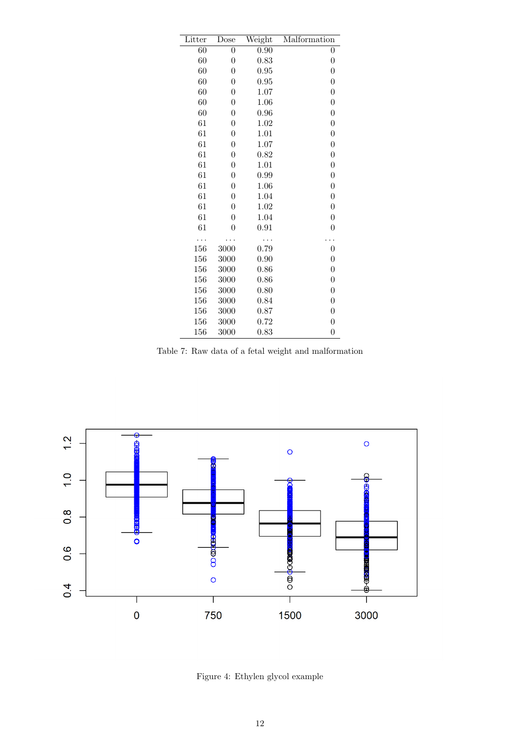| Litter | Dose             | Weight | Malformation     |
|--------|------------------|--------|------------------|
| 60     | $\boldsymbol{0}$ | 0.90   | $\boldsymbol{0}$ |
| 60     | $\boldsymbol{0}$ | 0.83   | $\boldsymbol{0}$ |
| 60     | $\boldsymbol{0}$ | 0.95   | $\boldsymbol{0}$ |
| 60     | $\boldsymbol{0}$ | 0.95   | $\boldsymbol{0}$ |
| 60     | $\boldsymbol{0}$ | 1.07   | $\boldsymbol{0}$ |
| 60     | $\boldsymbol{0}$ | 1.06   | $\boldsymbol{0}$ |
| 60     | $\boldsymbol{0}$ | 0.96   | $\boldsymbol{0}$ |
| 61     | $\boldsymbol{0}$ | 1.02   | $\boldsymbol{0}$ |
| 61     | $\boldsymbol{0}$ | 1.01   | $\boldsymbol{0}$ |
| 61     | $\boldsymbol{0}$ | 1.07   | $\boldsymbol{0}$ |
| 61     | $\boldsymbol{0}$ | 0.82   | $\boldsymbol{0}$ |
| 61     | $\boldsymbol{0}$ | 1.01   | $\overline{0}$   |
| 61     | $\boldsymbol{0}$ | 0.99   | $\boldsymbol{0}$ |
| 61     | $\boldsymbol{0}$ | 1.06   | $\boldsymbol{0}$ |
| 61     | $\boldsymbol{0}$ | 1.04   | $\boldsymbol{0}$ |
| 61     | $\boldsymbol{0}$ | 1.02   | $\boldsymbol{0}$ |
| 61     | $\boldsymbol{0}$ | 1.04   | $\boldsymbol{0}$ |
| 61     | $\overline{0}$   | 0.91   | $\boldsymbol{0}$ |
|        |                  |        |                  |
| 156    | 3000             | 0.79   | $\boldsymbol{0}$ |
| 156    | 3000             | 0.90   | $\boldsymbol{0}$ |
| 156    | 3000             | 0.86   | $\boldsymbol{0}$ |
| 156    | 3000             | 0.86   | $\boldsymbol{0}$ |
| 156    | 3000             | 0.80   | $\boldsymbol{0}$ |
| 156    | 3000             | 0.84   | $\boldsymbol{0}$ |
| 156    | 3000             | 0.87   | $\boldsymbol{0}$ |
| 156    | 3000             | 0.72   | $\boldsymbol{0}$ |
| 156    | 3000             | 0.83   | $\overline{0}$   |

Table 7: Raw data of a fetal weight and malformation



Figure 4: Ethylen glycol example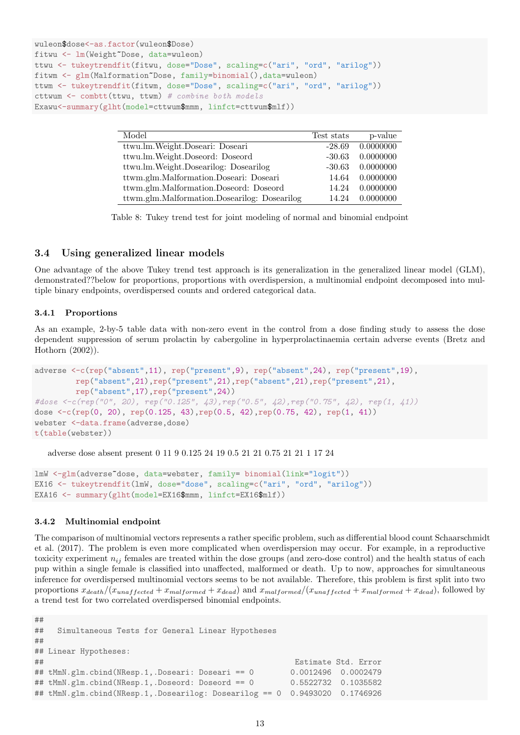```
wuleon$dose<-as.factor(wuleon$Dose)
fitwu <- lm(Weight~Dose, data=wuleon)
ttwu <- tukeytrendfit(fitwu, dose="Dose", scaling=c("ari", "ord", "arilog"))
fitwm <- glm(Malformation~Dose, family=binomial(),data=wuleon)
ttwm <- tukeytrendfit(fitwm, dose="Dose", scaling=c("ari", "ord", "arilog"))
cttwum <- combtt(ttwu, ttwm) # combine both models
Exawu<-summary(glht(model=cttwum$mmm, linfct=cttwum$mlf))
```

| Model                                        | Test stats | p-value   |
|----------------------------------------------|------------|-----------|
| ttwu.lm.Weight.Doseari: Doseari              | $-28.69$   | 0.0000000 |
| ttwu.lm.Weight.Doseord: Doseord              | $-30.63$   | 0.0000000 |
| ttwu.lm.Weight.Dosearilog: Dosearilog        | $-30.63$   | 0.0000000 |
| ttwm.glm.Malformation.Doseari: Doseari       | 14.64      | 0.0000000 |
| ttwm.glm.Malformation.Doseord: Doseord       | 14.24      | 0.0000000 |
| ttwm.glm.Malformation.Dosearilog: Dosearilog | 14.24      | 0.0000000 |

Table 8: Tukey trend test for joint modeling of normal and binomial endpoint

## 3.4 Using generalized linear models

One advantage of the above Tukey trend test approach is its generalization in the generalized linear model (GLM), demonstrated??below for proportions, proportions with overdispersion, a multinomial endpoint decomposed into multiple binary endpoints, overdispersed counts and ordered categorical data.

## 3.4.1 Proportions

As an example, 2-by-5 table data with non-zero event in the control from a dose finding study to assess the dose dependent suppression of serum prolactin by cabergoline in hyperprolactinaemia certain adverse events (Bretz and Hothorn (2002)).

```
adverse <-c(rep("absent",11), rep("present",9), rep("absent",24), rep("present",19),
         rep("absent",21),rep("present",21),rep("absent",21),rep("present",21),
         rep("absent",17),rep("present",24))
#dose <-c(rep("0", 20), rep("0.125", 43),rep("0.5", 42),rep("0.75", 42), rep(1, 41))
dose <-c(rep(0, 20), rep(0.125, 43),rep(0.5, 42),rep(0.75, 42), rep(1, 41))
webster <-data.frame(adverse,dose)
t(table(webster))
```
adverse dose absent present 0 11 9 0.125 24 19 0.5 21 21 0.75 21 21 1 17 24

```
lmW <-glm(adverse~dose, data=webster, family= binomial(link="logit"))
EX16 <- tukeytrendfit(lmW, dose="dose", scaling=c("ari", "ord", "arilog"))
EXA16 <- summary(glht(model=EX16$mmm, linfct=EX16$mlf))
```
## 3.4.2 Multinomial endpoint

The comparison of multinomial vectors represents a rather specific problem, such as differential blood count Schaarschmidt et al. (2017). The problem is even more complicated when overdispersion may occur. For example, in a reproductive toxicity experiment  $n_{ij}$  females are treated within the dose groups (and zero-dose control) and the health status of each pup within a single female is classified into unaffected, malformed or death. Up to now, approaches for simultaneous inference for overdispersed multinomial vectors seems to be not available. Therefore, this problem is first split into two proportions  $x_{death}/(x_{unaffected}+x_{malformed}+x_{dead})$  and  $x_{malformed}/(x_{unaffected}+x_{malformed}+x_{dead})$ , followed by a trend test for two correlated overdispersed binomial endpoints.

```
##
## Simultaneous Tests for General Linear Hypotheses
##
## Linear Hypotheses:
## Estimate Std. Error
## tMmN.glm.cbind(NResp.1,.Doseari: Doseari == 0 0.0012496 0.0002479
## tMmN.glm.cbind(NResp.1,.Doseord: Doseord == 0 0.5522732 0.1035582
## tMmN.glm.cbind(NResp.1,.Dosearilog: Dosearilog == 0 0.9493020 0.1746926
```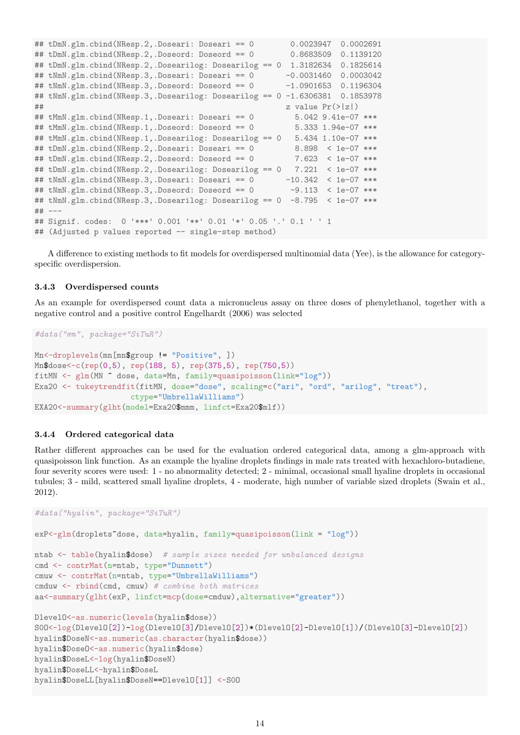```
## tDmN.glm.cbind(NResp.2,.Doseari: Doseari == 0 0.0023947 0.0002691
## tDmN.glm.cbind(NResp.2,.Doseord: Doseord == 0 0.8683509 0.1139120
## tDmN.glm.cbind(NResp.2,.Dosearilog: Dosearilog == 0 1.3182634 0.1825614
## tNmN.glm.cbind(NResp.3,.Doseari: Doseari == 0 -0.0031460 0.0003042
## tMmN.glm.cbind(NResp.3,.Doseord: Doseord == 0 -1.0901653 0.1196304
## tNmN.glm.cbind(NResp.3,.Dosearilog: Dosearilog == 0 - 1.6306381 0.1853978
# z value Pr(>|z|)## tMmN.glm.cbind(NResp.1,.Doseari: Doseari == 0 5.042 9.41e-07 ***
## tMmN.glm.cbind(NResp.1,.Doseord: Doseord == 0 5.333 1.94e-07 ***
## tMmN.glm.cbind(NResp.1,.Dosearilog: Dosearilog == 0 5.434 1.10e-07 ***
## tDmN.glm.cbind(NResp.2,.Doseari: Doseari == 0 8.898 < 1e-07 ***
## tDmN.glm.cbind(NResp.2,.Doseord: Doseord == 0 7.623 < 1e-07 ***
## tDmN.glm.cbind(NResp.2,.Dosearilog: Dosearilog == 0 \frac{7.221}{1e-07} ***<br>## tNmN.glm.cbind(NResp.3,.Doseari: Doseari == 0 \frac{-10.342}{1e-07} ***
## tNmN.glm.cbind(NResp.3, .Doseari: Does<math>e^{i\pi/2} = 0</math>## tMmN.glm.cbind(NResp.3,.Doseord: Doseord == 0 -9.113 < 1e-07 ***
## tNmN.glm.cbind(NResp.3,.Dosearilog: Dosearilog == 0 -8.795 < 1e-07 ***
## ---
## Signif. codes: 0 '***' 0.001 '**' 0.01 '*' 0.05 '.' 0.1 ' ' 1
## (Adjusted p values reported -- single-step method)
```
A difference to existing methods to fit models for overdispersed multinomial data (Yee), is the allowance for categoryspecific overdispersion.

## 3.4.3 Overdispersed counts

As an example for overdispersed count data a micronucleus assay on three doses of phenylethanol, together with a negative control and a positive control Engelhardt (2006) was selected

```
#data("mn", package="SiTuR")
Mn<-droplevels(mn[mn$group != "Positive", ])
Mn$dose<-c(rep(0,5), rep(188, 5), rep(375,5), rep(750,5))
fitMN <- glm(MN ~ dose, data=Mn, family=quasipoisson(link="log"))
Exa20 <- tukeytrendfit(fitMN, dose="dose", scaling=c("ari", "ord", "arilog", "treat"),
                     ctype="UmbrellaWilliams")
EXA20<-summary(glht(model=Exa20$mmm, linfct=Exa20$mlf))
```
## 3.4.4 Ordered categorical data

Rather different approaches can be used for the evaluation ordered categorical data, among a glm-approach with quasipoisson link function. As an example the hyaline droplets findings in male rats treated with hexachloro-butadiene, four severity scores were used: 1 - no abnormality detected; 2 - minimal, occasional small hyaline droplets in occasional tubules; 3 - mild, scattered small hyaline droplets, 4 - moderate, high number of variable sized droplets (Swain et al., 2012).

```
#data("hyalin", package="SiTuR")
exP<-glm(droplets~dose, data=hyalin, family=quasipoisson(link = "log"))
ntab <- table(hyalin$dose) # sample sizes needed for unbalanced designs
cmd <- contrMat(n=ntab, type="Dunnett")
cmuw <- contrMat(n=ntab, type="UmbrellaWilliams")
cmduw <- rbind(cmd, cmuw) # combine both matrices
aa<-summary(glht(exP, linfct=mcp(dose=cmduw),alternative="greater"))
DlevelO<-as.numeric(levels(hyalin$dose))
S0O<-log(DlevelO[2])-log(DlevelO[3]/DlevelO[2])*(DlevelO[2]-DlevelO[1])/(DlevelO[3]-DlevelO[2])
hyalin$DoseN<-as.numeric(as.character(hyalin$dose))
hyalin$DoseO<-as.numeric(hyalin$dose)
hyalin$DoseL<-log(hyalin$DoseN)
hyalin$DoseLL<-hyalin$DoseL
hyalin$DoseLL[hyalin$DoseN==DlevelO[1]] <-S0O
```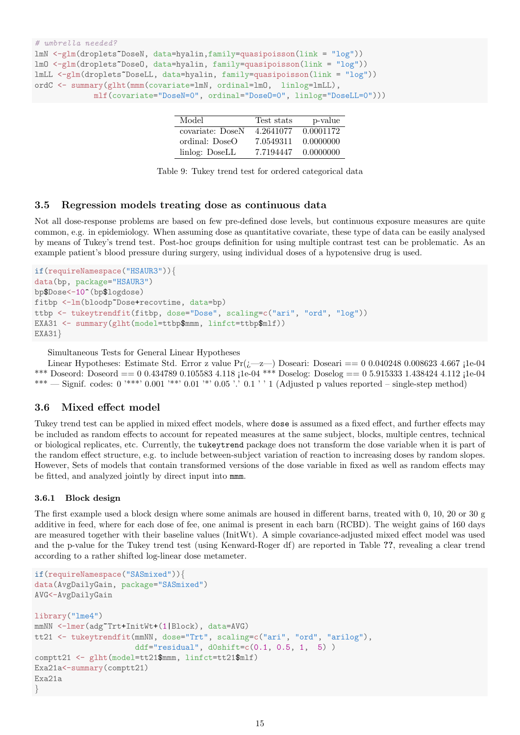```
# umbrella needed?
lmN < -glm(droplets^Tbosen, data=hyalin, family=quasipoisson(link = "log"))
lmO <-glm(droplets~DoseO, data=hyalin, family=quasipoisson(link = "log"))
lmLL <-glm(droplets~DoseLL, data=hyalin, family=quasipoisson(link = "log"))
ordC <- summary(glht(mmm(covariate=lmN, ordinal=lmO, linlog=lmLL),
             mlf(covariate="DoseN=0", ordinal="DoseO=0", linlog="DoseLL=0")))
```

| Model            | Test stats | p-value   |
|------------------|------------|-----------|
| covariate: DoseN | 4.2641077  | 0.0001172 |
| ordinal: DoseO   | 7.0549311  | 0.0000000 |
| linlog: DoseLL   | 7.7194447  | 0.0000000 |

## 3.5 Regression models treating dose as continuous data

Not all dose-response problems are based on few pre-defined dose levels, but continuous exposure measures are quite common, e.g. in epidemiology. When assuming dose as quantitative covariate, these type of data can be easily analysed by means of Tukey's trend test. Post-hoc groups definition for using multiple contrast test can be problematic. As an example patient's blood pressure during surgery, using individual doses of a hypotensive drug is used.

```
if(requireNamespace("HSAUR3")){
data(bp, package="HSAUR3")
bp$Dose<-10^(bp$logdose)
fitbp <-lm(bloodp~Dose+recovtime, data=bp)
ttbp <- tukeytrendfit(fitbp, dose="Dose", scaling=c("ari", "ord", "log"))
EXA31 <- summary(glht(model=ttbp$mmm, linfct=ttbp$mlf))
EXA31}
```
Simultaneous Tests for General Linear Hypotheses

Linear Hypotheses: Estimate Std. Error z value  $Pr(i \rightarrow z)$  Doseari: Doseari == 0 0.040248 0.008623 4.667 ¡1e-04 \*\*\* Doseord: Doseord == 0 0.434789 0.105583 4.118 ;1e-04 \*\*\* Doselog: Doselog == 0 5.915333 1.438424 4.112 ;1e-04 \*\*\* — Signif. codes:  $0$  '\*\*\*'  $0.001$  '\*\*'  $0.01$  '\*'  $0.05$  '.'  $0.1$  ' ' 1 (Adjusted p values reported – single-step method)

## 3.6 Mixed effect model

Tukey trend test can be applied in mixed effect models, where dose is assumed as a fixed effect, and further effects may be included as random effects to account for repeated measures at the same subject, blocks, multiple centres, technical or biological replicates, etc. Currently, the tukeytrend package does not transform the dose variable when it is part of the random effect structure, e.g. to include between-subject variation of reaction to increasing doses by random slopes. However, Sets of models that contain transformed versions of the dose variable in fixed as well as random effects may be fitted, and analyzed jointly by direct input into mmm.

#### 3.6.1 Block design

The first example used a block design where some animals are housed in different barns, treated with 0, 10, 20 or 30 g additive in feed, where for each dose of fee, one animal is present in each barn (RCBD). The weight gains of 160 days are measured together with their baseline values (InitWt). A simple covariance-adjusted mixed effect model was used and the p-value for the Tukey trend test (using Kenward-Roger df) are reported in Table ??, revealing a clear trend according to a rather shifted log-linear dose metameter.

```
if(requireNamespace("SASmixed")){
data(AvgDailyGain, package="SASmixed")
AVG<-AvgDailyGain
library("lme4")
mmNN <-lmer(adg~Trt+InitWt+(1|Block), data=AVG)
tt21 <- tukeytrendfit(mmNN, dose="Trt", scaling=c("ari", "ord", "arilog"),
                      ddf="residual", d0shift=c(0.1, 0.5, 1, 5) )
comptt21 <- glht(model=tt21$mmm, linfct=tt21$mlf)
Exa21a<-summary(comptt21)
Exa21a
}
```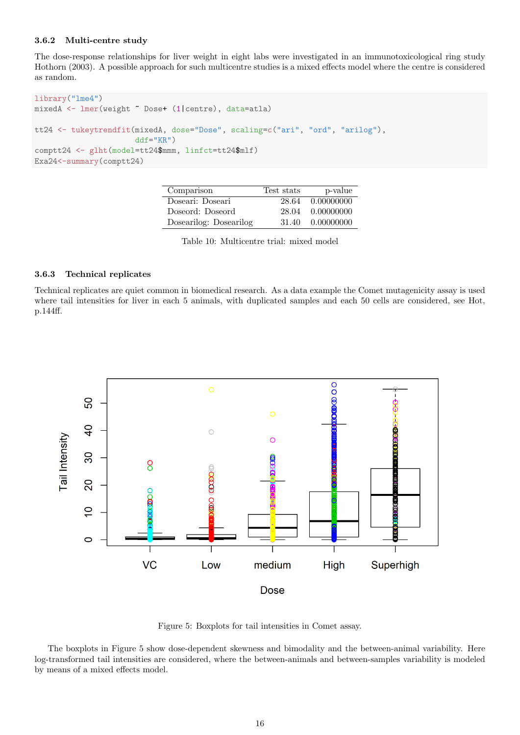#### 3.6.2 Multi-centre study

The dose-response relationships for liver weight in eight labs were investigated in an immunotoxicological ring study Hothorn (2003). A possible approach for such multicentre studies is a mixed effects model where the centre is considered as random.

```
library("lme4")
mixedA <- lmer(weight ~ Dose+ (1|centre), data=atla)
tt24 <- tukeytrendfit(mixedA, dose="Dose", scaling=c("ari", "ord", "arilog"),
                      ddf="KR")
comptt24 <- glht(model=tt24$mmm, linfct=tt24$mlf)
Exa24<-summary(comptt24)
```

| Comparison             | Test stats | p-value    |
|------------------------|------------|------------|
| Doseari: Doseari       | 28.64      | 0.00000000 |
| Doseord: Doseord       | 28.04      | 0.00000000 |
| Dosearilog: Dosearilog | 31.40      | 0.00000000 |

Table 10: Multicentre trial: mixed model

#### 3.6.3 Technical replicates

Technical replicates are quiet common in biomedical research. As a data example the Comet mutagenicity assay is used where tail intensities for liver in each 5 animals, with duplicated samples and each 50 cells are considered, see Hot, p.144ff.



Figure 5: Boxplots for tail intensities in Comet assay.

The boxplots in Figure 5 show dose-dependent skewness and bimodality and the between-animal variability. Here log-transformed tail intensities are considered, where the between-animals and between-samples variability is modeled by means of a mixed effects model.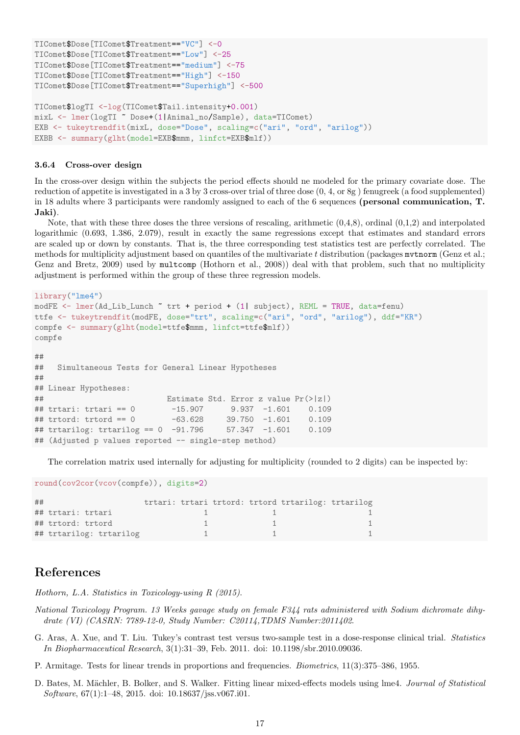```
TIComet$Dose[TIComet$Treatment=="VC"] <-0
TIComet$Dose[TIComet$Treatment=="Low"] <-25
TIComet$Dose[TIComet$Treatment=="medium"] <-75
TIComet$Dose[TIComet$Treatment=="High"] <-150
TIComet$Dose[TIComet$Treatment=="Superhigh"] <-500
TIComet$logTI <-log(TIComet$Tail.intensity+0.001)
mixL <- lmer(logTI ~ Dose+(1|Animal_no/Sample), data=TIComet)
EXB <- tukeytrendfit(mixL, dose="Dose", scaling=c("ari", "ord", "arilog"))
EXBB <- summary(glht(model=EXB$mmm, linfct=EXB$mlf))
```
#### 3.6.4 Cross-over design

In the cross-over design within the subjects the period effects should ne modeled for the primary covariate dose. The reduction of appetite is investigated in a 3 by 3 cross-over trial of three dose (0, 4, or 8g ) fenugreek (a food supplemented) in 18 adults where 3 participants were randomly assigned to each of the 6 sequences (personal communication, T. Jaki).

Note, that with these three doses the three versions of rescaling, arithmetic  $(0,4,8)$ , ordinal  $(0,1,2)$  and interpolated logarithmic (0.693, 1.386, 2.079), result in exactly the same regressions except that estimates and standard errors are scaled up or down by constants. That is, the three corresponding test statistics test are perfectly correlated. The methods for multiplicity adjustment based on quantiles of the multivariate t distribution (packages  $m$  thorn (Genz et al.; Genz and Bretz, 2009) used by multcomp (Hothorn et al., 2008)) deal with that problem, such that no multiplicity adjustment is performed within the group of these three regression models.

```
library("lme4")
modFE <- lmer(Ad_Lib_Lunch ~ trt + period + (1| subject), REML = TRUE, data=fenu)
ttfe <- tukeytrendfit(modFE, dose="trt", scaling=c("ari", "ord", "arilog"), ddf="KR")
compfe <- summary(glht(model=ttfe$mmm, linfct=ttfe$mlf))
compfe
##
## Simultaneous Tests for General Linear Hypotheses
##
## Linear Hypotheses:
## Estimate Std. Error z value Pr(>|z|)
## trtari: trtari == 0 -15.907 9.937 -1.601 0.109
## trtord: trtord == 0 -63.628 39.750 -1.601 0.109
## trtarilog: trtarilog == 0 -91.796 57.347 -1.601 0.109
## (Adjusted p values reported -- single-step method)
```
The correlation matrix used internally for adjusting for multiplicity (rounded to 2 digits) can be inspected by:

```
round(cov2cor(vcov(compfe)), digits=2)
```

| ## |                         |  |  | trtari: trtari trtord: trtord trtarilog: trtarilog |  |
|----|-------------------------|--|--|----------------------------------------------------|--|
|    | ## trtari: trtari       |  |  |                                                    |  |
|    | ## trtord: trtord       |  |  |                                                    |  |
|    | ## trtarilog: trtarilog |  |  |                                                    |  |

## References

Hothorn, L.A. Statistics in Toxicology-using R (2015).

- National Toxicology Program. 13 Weeks gavage study on female F344 rats administered with Sodium dichromate dihydrate (VI) (CASRN: 7789-12-0, Study Number: C20114,TDMS Number:2011402.
- G. Aras, A. Xue, and T. Liu. Tukey's contrast test versus two-sample test in a dose-response clinical trial. Statistics In Biopharmaceutical Research, 3(1):31–39, Feb. 2011. doi: 10.1198/sbr.2010.09036.
- P. Armitage. Tests for linear trends in proportions and frequencies. Biometrics, 11(3):375–386, 1955.
- D. Bates, M. Mächler, B. Bolker, and S. Walker. Fitting linear mixed-effects models using lme4. Journal of Statistical Software, 67(1):1–48, 2015. doi: 10.18637/jss.v067.i01.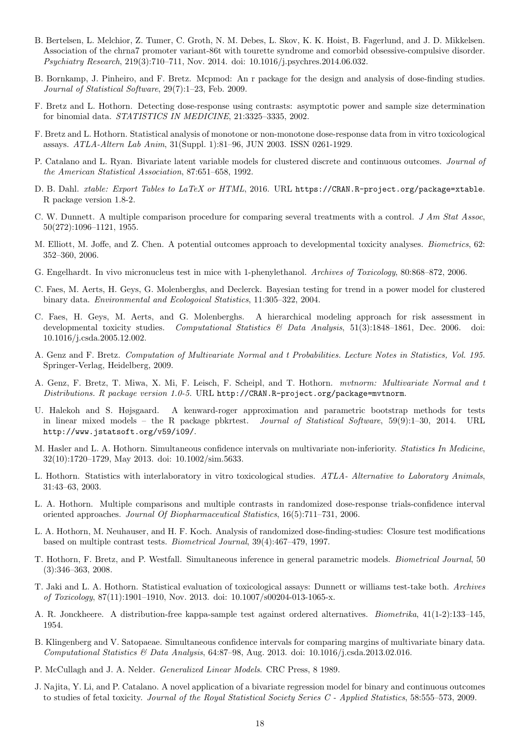- B. Bertelsen, L. Melchior, Z. Tumer, C. Groth, N. M. Debes, L. Skov, K. K. Hoist, B. Fagerlund, and J. D. Mikkelsen. Association of the chrna7 promoter variant-86t with tourette syndrome and comorbid obsessive-compulsive disorder. Psychiatry Research, 219(3):710–711, Nov. 2014. doi: 10.1016/j.psychres.2014.06.032.
- B. Bornkamp, J. Pinheiro, and F. Bretz. Mcpmod: An r package for the design and analysis of dose-finding studies. Journal of Statistical Software, 29(7):1–23, Feb. 2009.
- F. Bretz and L. Hothorn. Detecting dose-response using contrasts: asymptotic power and sample size determination for binomial data. STATISTICS IN MEDICINE, 21:3325–3335, 2002.
- F. Bretz and L. Hothorn. Statistical analysis of monotone or non-monotone dose-response data from in vitro toxicological assays. ATLA-Altern Lab Anim, 31(Suppl. 1):81–96, JUN 2003. ISSN 0261-1929.
- P. Catalano and L. Ryan. Bivariate latent variable models for clustered discrete and continuous outcomes. Journal of the American Statistical Association, 87:651–658, 1992.
- D. B. Dahl. xtable: Export Tables to LaTeX or HTML, 2016. URL https://CRAN.R-project.org/package=xtable. R package version 1.8-2.
- C. W. Dunnett. A multiple comparison procedure for comparing several treatments with a control. J Am Stat Assoc, 50(272):1096–1121, 1955.
- M. Elliott, M. Joffe, and Z. Chen. A potential outcomes approach to developmental toxicity analyses. Biometrics, 62: 352–360, 2006.
- G. Engelhardt. In vivo micronucleus test in mice with 1-phenylethanol. Archives of Toxicology, 80:868–872, 2006.
- C. Faes, M. Aerts, H. Geys, G. Molenberghs, and Declerck. Bayesian testing for trend in a power model for clustered binary data. Environmental and Ecologoical Statistics, 11:305–322, 2004.
- C. Faes, H. Geys, M. Aerts, and G. Molenberghs. A hierarchical modeling approach for risk assessment in developmental toxicity studies. Computational Statistics & Data Analysis, 51(3):1848–1861, Dec. 2006. doi: 10.1016/j.csda.2005.12.002.
- A. Genz and F. Bretz. Computation of Multivariate Normal and t Probabilities. Lecture Notes in Statistics, Vol. 195. Springer-Verlag, Heidelberg, 2009.
- A. Genz, F. Bretz, T. Miwa, X. Mi, F. Leisch, F. Scheipl, and T. Hothorn. mvtnorm: Multivariate Normal and t Distributions. R package version 1.0-5. URL http://CRAN.R-project.org/package=mvtnorm.
- U. Halekoh and S. Højsgaard. A kenward-roger approximation and parametric bootstrap methods for tests in linear mixed models – the R package pbkrtest. Journal of Statistical Software, 59(9):1–30, 2014. URL http://www.jstatsoft.org/v59/i09/.
- M. Hasler and L. A. Hothorn. Simultaneous confidence intervals on multivariate non-inferiority. Statistics In Medicine, 32(10):1720–1729, May 2013. doi: 10.1002/sim.5633.
- L. Hothorn. Statistics with interlaboratory in vitro toxicological studies. ATLA- Alternative to Laboratory Animals, 31:43–63, 2003.
- L. A. Hothorn. Multiple comparisons and multiple contrasts in randomized dose-response trials-confidence interval oriented approaches. Journal Of Biopharmaceutical Statistics, 16(5):711–731, 2006.
- L. A. Hothorn, M. Neuhauser, and H. F. Koch. Analysis of randomized dose-finding-studies: Closure test modifications based on multiple contrast tests. Biometrical Journal, 39(4):467–479, 1997.
- T. Hothorn, F. Bretz, and P. Westfall. Simultaneous inference in general parametric models. Biometrical Journal, 50 (3):346–363, 2008.
- T. Jaki and L. A. Hothorn. Statistical evaluation of toxicological assays: Dunnett or williams test-take both. Archives of Toxicology, 87(11):1901–1910, Nov. 2013. doi: 10.1007/s00204-013-1065-x.
- A. R. Jonckheere. A distribution-free kappa-sample test against ordered alternatives. Biometrika, 41(1-2):133–145, 1954.
- B. Klingenberg and V. Satopaeae. Simultaneous confidence intervals for comparing margins of multivariate binary data. Computational Statistics & Data Analysis, 64:87–98, Aug. 2013. doi: 10.1016/j.csda.2013.02.016.
- P. McCullagh and J. A. Nelder. Generalized Linear Models. CRC Press, 8 1989.
- J. Najita, Y. Li, and P. Catalano. A novel application of a bivariate regression model for binary and continuous outcomes to studies of fetal toxicity. Journal of the Royal Statistical Society Series C - Applied Statistics, 58:555–573, 2009.